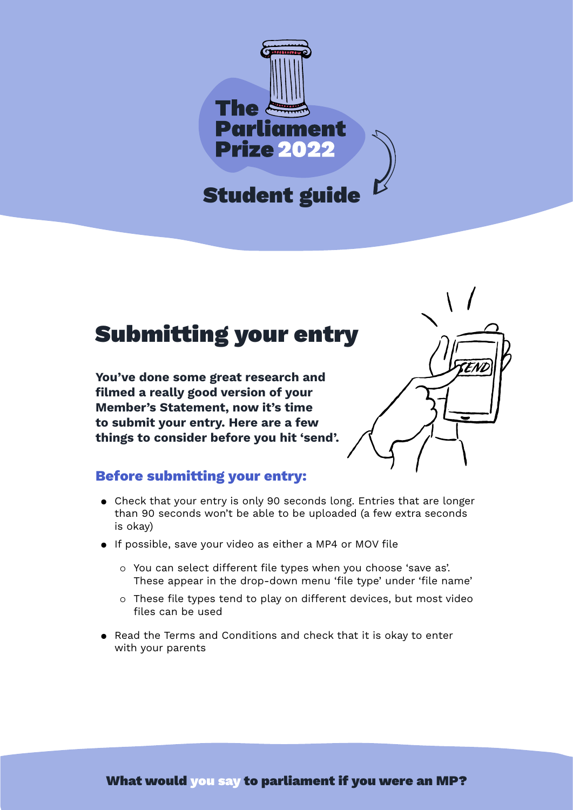

## Submitting your entry

**You've done some great research and filmed a really good version of your Member's Statement, now it's time to submit your entry. Here are a few things to consider before you hit 'send'.**



## **Before submitting your entry:**

- Check that your entry is only 90 seconds long. Entries that are longer than 90 seconds won't be able to be uploaded (a few extra seconds is okay)
- If possible, save your video as either a MP4 or MOV file
	- You can select different file types when you choose 'save as'. These appear in the drop-down menu 'file type' under 'file name'
	- These file types tend to play on different devices, but most video files can be used
- Read the Terms and Conditions and check that it is okay to enter with your parents

What would you say to parliament if you were an MP?